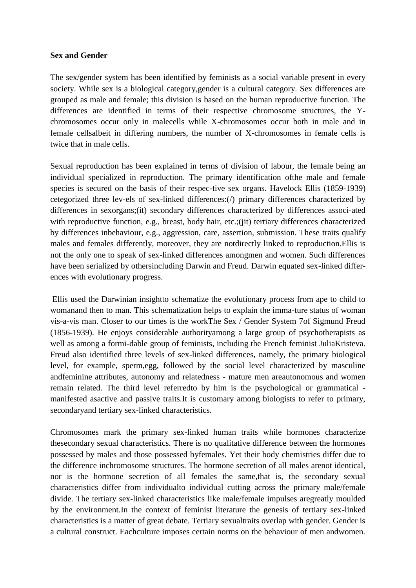## **Sex and Gender**

The sex/gender system has been identified by feminists as a social variable present in every society. While sex is a biological category,gender is a cultural category. Sex differences are grouped as male and female; this division is based on the human reproductive function. The differences are identified in terms of their respective chromosome structures, the Ychromosomes occur only in malecells while X-chromosomes occur both in male and in female cellsalbeit in differing numbers, the number of X-chromosomes in female cells is twice that in male cells.

Sexual reproduction has been explained in terms of division of labour, the female being an individual specialized in reproduction. The primary identification ofthe male and female species is secured on the basis of their respec-tive sex organs. Havelock Ellis (1859-1939) cetegorized three lev-els of sex-linked differences:(/) primary differences characterized by differences in sexorgans;(it) secondary differences characterized by differences associ-ated with reproductive function, e.g., breast, body hair, etc.;(jit) tertiary differences characterized by differences inbehaviour, e.g., aggression, care, assertion, submission. These traits qualify males and females differently, moreover, they are notdirectly linked to reproduction.Ellis is not the only one to speak of sex-linked differences amongmen and women. Such differences have been serialized by othersincluding Darwin and Freud. Darwin equated sex-linked differences with evolutionary progress.

Ellis used the Darwinian insightto schematize the evolutionary process from ape to child to womanand then to man. This schematization helps to explain the imma-ture status of woman vis-a-vis man. Closer to our times is the workThe Sex / Gender System 7of Sigmund Freud (1856-1939). He enjoys considerable authorityamong a large group of psychotherapists as well as among a formi-dable group of feminists, including the French feminist JuliaKristeva. Freud also identified three levels of sex-linked differences, namely, the primary biological level, for example, sperm,egg, followed by the social level characterized by masculine andfeminine attributes, autonomy and relatedness - mature men areautonomous and women remain related. The third level referredto by him is the psychological or grammatical manifested asactive and passive traits.It is customary among biologists to refer to primary, secondaryand tertiary sex-linked characteristics.

Chromosomes mark the primary sex-linked human traits while hormones characterize thesecondary sexual characteristics. There is no qualitative difference between the hormones possessed by males and those possessed byfemales. Yet their body chemistries differ due to the difference inchromosome structures. The hormone secretion of all males arenot identical, nor is the hormone secretion of all females the same,that is, the secondary sexual characteristics differ from individualto individual cutting across the primary male/female divide. The tertiary sex-linked characteristics like male/female impulses aregreatly moulded by the environment.In the context of feminist literature the genesis of tertiary sex-linked characteristics is a matter of great debate. Tertiary sexualtraits overlap with gender. Gender is a cultural construct. Eachculture imposes certain norms on the behaviour of men andwomen.